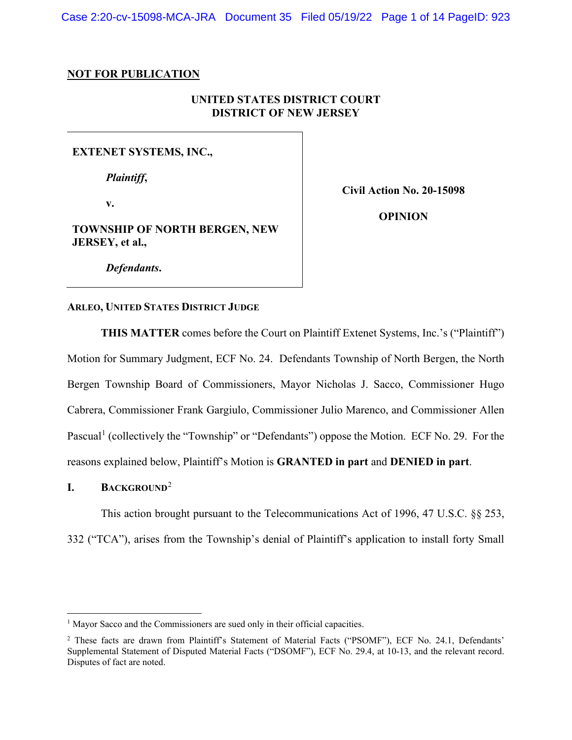Case 2:20-cv-15098-MCA-JRA Document 35 Filed 05/19/22 Page 1 of 14 PageID: 923

#### **NOT FOR PUBLICATION**

# **UNITED STATES DISTRICT COURT DISTRICT OF NEW JERSEY**

#### **EXTENET SYSTEMS, INC.,**

*Plaintiff***,**

**v.**

**Civil Action No. 20-15098**

**TOWNSHIP OF NORTH BERGEN, NEW JERSEY, et al.,**

**OPINION**

*Defendants***.**

#### **ARLEO, UNITED STATES DISTRICT JUDGE**

**THIS MATTER** comes before the Court on Plaintiff Extenet Systems, Inc.'s ("Plaintiff") Motion for Summary Judgment, ECF No. 24. Defendants Township of North Bergen, the North Bergen Township Board of Commissioners, Mayor Nicholas J. Sacco, Commissioner Hugo Cabrera, Commissioner Frank Gargiulo, Commissioner Julio Marenco, and Commissioner Allen Pascual<sup>1</sup> (collectively the "Township" or "Defendants") oppose the Motion. ECF No. 29. For the reasons explained below, Plaintiff's Motion is **GRANTED in part** and **DENIED in part**.

## **I. BACKGROUND**<sup>2</sup>

This action brought pursuant to the Telecommunications Act of 1996, 47 U.S.C. §§ 253, 332 ("TCA"), arises from the Township's denial of Plaintiff's application to install forty Small

<sup>&</sup>lt;sup>1</sup> Mayor Sacco and the Commissioners are sued only in their official capacities.

<sup>2</sup> These facts are drawn from Plaintiff's Statement of Material Facts ("PSOMF"), ECF No. 24.1, Defendants' Supplemental Statement of Disputed Material Facts ("DSOMF"), ECF No. 29.4, at 10-13, and the relevant record. Disputes of fact are noted.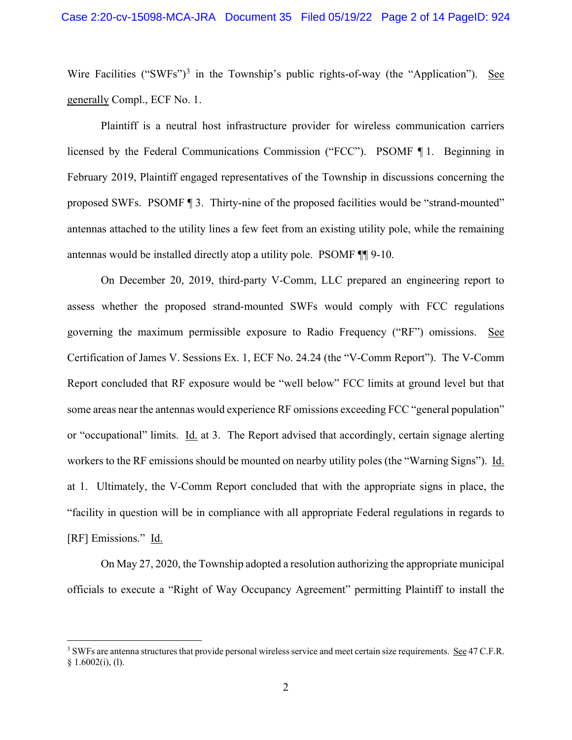Wire Facilities ("SWFs")<sup>3</sup> in the Township's public rights-of-way (the "Application"). See generally Compl., ECF No. 1.

Plaintiff is a neutral host infrastructure provider for wireless communication carriers licensed by the Federal Communications Commission ("FCC"). PSOMF ¶ 1. Beginning in February 2019, Plaintiff engaged representatives of the Township in discussions concerning the proposed SWFs. PSOMF ¶ 3. Thirty-nine of the proposed facilities would be "strand-mounted" antennas attached to the utility lines a few feet from an existing utility pole, while the remaining antennas would be installed directly atop a utility pole. PSOMF ¶¶ 9-10.

On December 20, 2019, third-party V-Comm, LLC prepared an engineering report to assess whether the proposed strand-mounted SWFs would comply with FCC regulations governing the maximum permissible exposure to Radio Frequency ("RF") omissions. See Certification of James V. Sessions Ex. 1, ECF No. 24.24 (the "V-Comm Report"). The V-Comm Report concluded that RF exposure would be "well below" FCC limits at ground level but that some areas near the antennas would experience RF omissions exceeding FCC "general population" or "occupational" limits. Id. at 3. The Report advised that accordingly, certain signage alerting workers to the RF emissions should be mounted on nearby utility poles (the "Warning Signs"). Id. at 1. Ultimately, the V-Comm Report concluded that with the appropriate signs in place, the "facility in question will be in compliance with all appropriate Federal regulations in regards to [RF] Emissions." Id.

On May 27, 2020, the Township adopted a resolution authorizing the appropriate municipal officials to execute a "Right of Way Occupancy Agreement" permitting Plaintiff to install the

<sup>&</sup>lt;sup>3</sup> SWFs are antenna structures that provide personal wireless service and meet certain size requirements. See 47 C.F.R.  $§ 1.6002(i), (1).$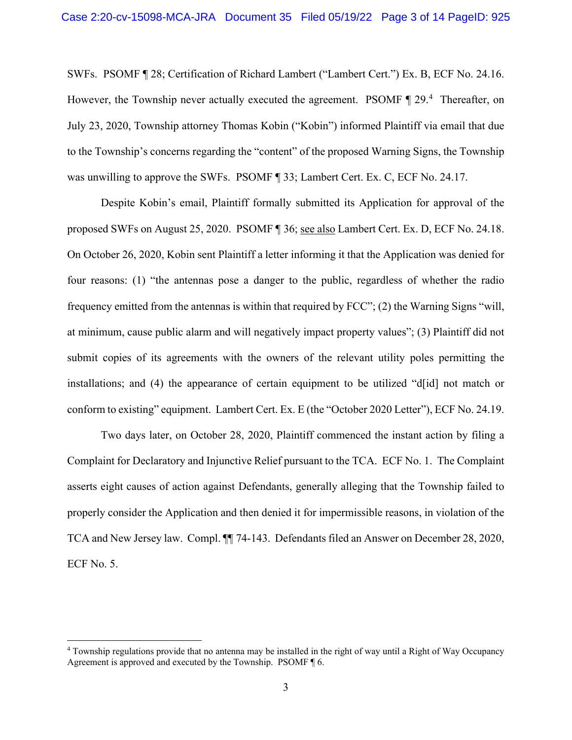SWFs. PSOMF ¶ 28; Certification of Richard Lambert ("Lambert Cert.") Ex. B, ECF No. 24.16. However, the Township never actually executed the agreement. PSOMF 1 29.<sup>4</sup> Thereafter, on July 23, 2020, Township attorney Thomas Kobin ("Kobin") informed Plaintiff via email that due to the Township's concerns regarding the "content" of the proposed Warning Signs, the Township was unwilling to approve the SWFs. PSOMF ¶ 33; Lambert Cert. Ex. C, ECF No. 24.17.

Despite Kobin's email, Plaintiff formally submitted its Application for approval of the proposed SWFs on August 25, 2020. PSOMF ¶ 36; see also Lambert Cert. Ex. D, ECF No. 24.18. On October 26, 2020, Kobin sent Plaintiff a letter informing it that the Application was denied for four reasons: (1) "the antennas pose a danger to the public, regardless of whether the radio frequency emitted from the antennas is within that required by FCC"; (2) the Warning Signs "will, at minimum, cause public alarm and will negatively impact property values"; (3) Plaintiff did not submit copies of its agreements with the owners of the relevant utility poles permitting the installations; and (4) the appearance of certain equipment to be utilized "d[id] not match or conform to existing" equipment. Lambert Cert. Ex. E (the "October 2020 Letter"), ECF No. 24.19.

Two days later, on October 28, 2020, Plaintiff commenced the instant action by filing a Complaint for Declaratory and Injunctive Relief pursuant to the TCA. ECF No. 1. The Complaint asserts eight causes of action against Defendants, generally alleging that the Township failed to properly consider the Application and then denied it for impermissible reasons, in violation of the TCA and New Jersey law. Compl. ¶¶ 74-143. Defendants filed an Answer on December 28, 2020, ECF No. 5.

<sup>4</sup> Township regulations provide that no antenna may be installed in the right of way until a Right of Way Occupancy Agreement is approved and executed by the Township. PSOMF ¶ 6.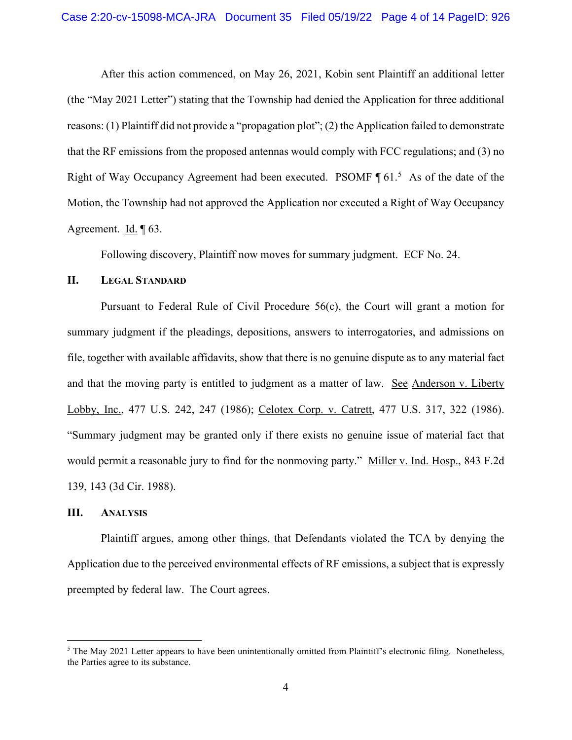After this action commenced, on May 26, 2021, Kobin sent Plaintiff an additional letter (the "May 2021 Letter") stating that the Township had denied the Application for three additional reasons: (1) Plaintiff did not provide a "propagation plot"; (2) the Application failed to demonstrate that the RF emissions from the proposed antennas would comply with FCC regulations; and (3) no Right of Way Occupancy Agreement had been executed. PSOMF  $\P 61<sup>5</sup>$  As of the date of the Motion, the Township had not approved the Application nor executed a Right of Way Occupancy Agreement. Id. ¶ 63.

Following discovery, Plaintiff now moves for summary judgment. ECF No. 24.

### **II. LEGAL STANDARD**

Pursuant to Federal Rule of Civil Procedure 56(c), the Court will grant a motion for summary judgment if the pleadings, depositions, answers to interrogatories, and admissions on file, together with available affidavits, show that there is no genuine dispute as to any material fact and that the moving party is entitled to judgment as a matter of law. See Anderson v. Liberty Lobby, Inc., 477 U.S. 242, 247 (1986); Celotex Corp. v. Catrett, 477 U.S. 317, 322 (1986). "Summary judgment may be granted only if there exists no genuine issue of material fact that would permit a reasonable jury to find for the nonmoving party." Miller v. Ind. Hosp., 843 F.2d 139, 143 (3d Cir. 1988).

## **III. ANALYSIS**

Plaintiff argues, among other things, that Defendants violated the TCA by denying the Application due to the perceived environmental effects of RF emissions, a subject that is expressly preempted by federal law. The Court agrees.

 $5$  The May 2021 Letter appears to have been unintentionally omitted from Plaintiff's electronic filing. Nonetheless, the Parties agree to its substance.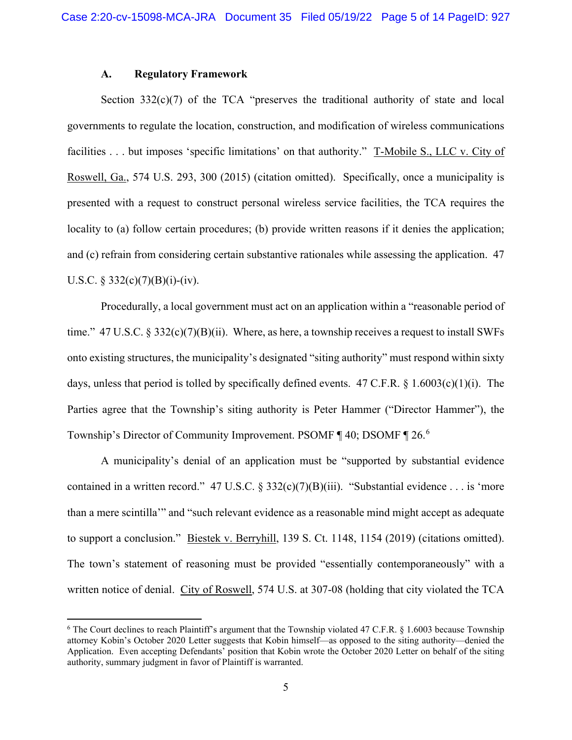## **A. Regulatory Framework**

Section  $332(c)(7)$  of the TCA "preserves the traditional authority of state and local governments to regulate the location, construction, and modification of wireless communications facilities . . . but imposes 'specific limitations' on that authority." T-Mobile S., LLC v. City of Roswell, Ga., 574 U.S. 293, 300 (2015) (citation omitted). Specifically, once a municipality is presented with a request to construct personal wireless service facilities, the TCA requires the locality to (a) follow certain procedures; (b) provide written reasons if it denies the application; and (c) refrain from considering certain substantive rationales while assessing the application. 47 U.S.C. § 332(c)(7)(B)(i)-(iv).

Procedurally, a local government must act on an application within a "reasonable period of time."  $47 \text{ U.S.C.}$  §  $332(c)(7)(B)(ii)$ . Where, as here, a township receives a request to install SWFs onto existing structures, the municipality's designated "siting authority" must respond within sixty days, unless that period is tolled by specifically defined events. 47 C.F.R. § 1.6003(c)(1)(i). The Parties agree that the Township's siting authority is Peter Hammer ("Director Hammer"), the Township's Director of Community Improvement. PSOMF 140; DSOMF 126.6

A municipality's denial of an application must be "supported by substantial evidence contained in a written record." 47 U.S.C.  $\S 332(c)(7)(B)(iii)$ . "Substantial evidence ... is 'more than a mere scintilla'" and "such relevant evidence as a reasonable mind might accept as adequate to support a conclusion." Biestek v. Berryhill, 139 S. Ct. 1148, 1154 (2019) (citations omitted). The town's statement of reasoning must be provided "essentially contemporaneously" with a written notice of denial. City of Roswell, 574 U.S. at 307-08 (holding that city violated the TCA

<sup>6</sup> The Court declines to reach Plaintiff's argument that the Township violated 47 C.F.R. § 1.6003 because Township attorney Kobin's October 2020 Letter suggests that Kobin himself—as opposed to the siting authority—denied the Application. Even accepting Defendants' position that Kobin wrote the October 2020 Letter on behalf of the siting authority, summary judgment in favor of Plaintiff is warranted.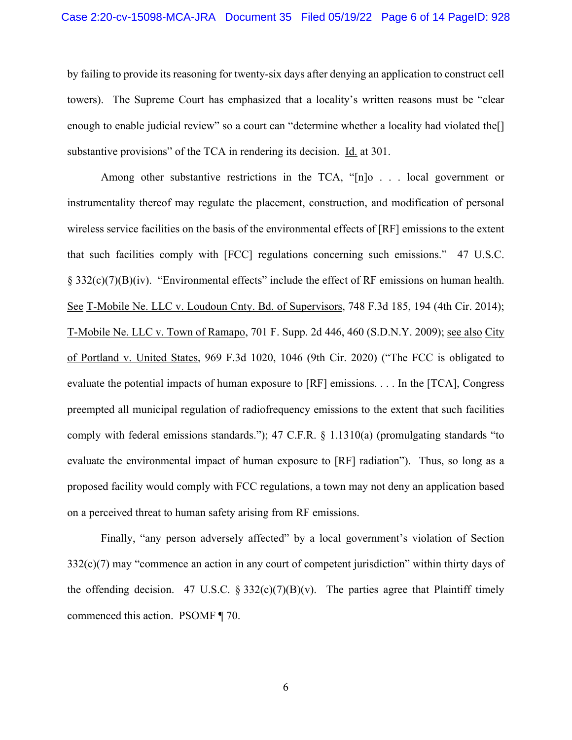by failing to provide its reasoning for twenty-six days after denying an application to construct cell towers). The Supreme Court has emphasized that a locality's written reasons must be "clear enough to enable judicial review" so a court can "determine whether a locality had violated the<sup>[]</sup> substantive provisions" of the TCA in rendering its decision. Id. at 301.

Among other substantive restrictions in the TCA, "[n]o . . . local government or instrumentality thereof may regulate the placement, construction, and modification of personal wireless service facilities on the basis of the environmental effects of [RF] emissions to the extent that such facilities comply with [FCC] regulations concerning such emissions." 47 U.S.C. § 332(c)(7)(B)(iv). "Environmental effects" include the effect of RF emissions on human health. See T-Mobile Ne. LLC v. Loudoun Cnty. Bd. of Supervisors, 748 F.3d 185, 194 (4th Cir. 2014); T-Mobile Ne. LLC v. Town of Ramapo, 701 F. Supp. 2d 446, 460 (S.D.N.Y. 2009); see also City of Portland v. United States, 969 F.3d 1020, 1046 (9th Cir. 2020) ("The FCC is obligated to evaluate the potential impacts of human exposure to [RF] emissions. . . . In the [TCA], Congress preempted all municipal regulation of radiofrequency emissions to the extent that such facilities comply with federal emissions standards."); 47 C.F.R. § 1.1310(a) (promulgating standards "to evaluate the environmental impact of human exposure to [RF] radiation"). Thus, so long as a proposed facility would comply with FCC regulations, a town may not deny an application based on a perceived threat to human safety arising from RF emissions.

Finally, "any person adversely affected" by a local government's violation of Section 332(c)(7) may "commence an action in any court of competent jurisdiction" within thirty days of the offending decision. 47 U.S.C.  $\S 332(c)(7)(B)(v)$ . The parties agree that Plaintiff timely commenced this action. PSOMF ¶ 70.

6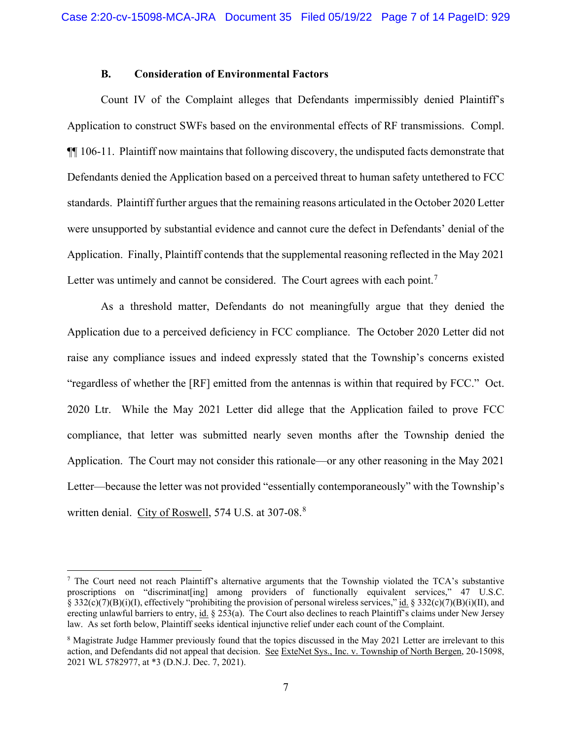### **B. Consideration of Environmental Factors**

Count IV of the Complaint alleges that Defendants impermissibly denied Plaintiff's Application to construct SWFs based on the environmental effects of RF transmissions. Compl. ¶¶ 106-11. Plaintiff now maintains that following discovery, the undisputed facts demonstrate that Defendants denied the Application based on a perceived threat to human safety untethered to FCC standards. Plaintiff further argues that the remaining reasons articulated in the October 2020 Letter were unsupported by substantial evidence and cannot cure the defect in Defendants' denial of the Application. Finally, Plaintiff contends that the supplemental reasoning reflected in the May 2021 Letter was untimely and cannot be considered. The Court agrees with each point.<sup>7</sup>

As a threshold matter, Defendants do not meaningfully argue that they denied the Application due to a perceived deficiency in FCC compliance. The October 2020 Letter did not raise any compliance issues and indeed expressly stated that the Township's concerns existed "regardless of whether the [RF] emitted from the antennas is within that required by FCC." Oct. 2020 Ltr. While the May 2021 Letter did allege that the Application failed to prove FCC compliance, that letter was submitted nearly seven months after the Township denied the Application. The Court may not consider this rationale—or any other reasoning in the May 2021 Letter—because the letter was not provided "essentially contemporaneously" with the Township's written denial. City of Roswell, 574 U.S. at 307-08.<sup>8</sup>

<sup>&</sup>lt;sup>7</sup> The Court need not reach Plaintiff's alternative arguments that the Township violated the TCA's substantive proscriptions on "discriminat [ing] among providers of functionally equivalent services," 47 U.S.C. § 332(c)(7)(B)(i)(I), effectively "prohibiting the provision of personal wireless services," id. § 332(c)(7)(B)(i)(II), and erecting unlawful barriers to entry, id. § 253(a). The Court also declines to reach Plaintiff's claims under New Jersey law. As set forth below, Plaintiff seeks identical injunctive relief under each count of the Complaint.

<sup>&</sup>lt;sup>8</sup> Magistrate Judge Hammer previously found that the topics discussed in the May 2021 Letter are irrelevant to this action, and Defendants did not appeal that decision. See ExteNet Sys., Inc. v. Township of North Bergen, 20-15098, 2021 WL 5782977, at \*3 (D.N.J. Dec. 7, 2021).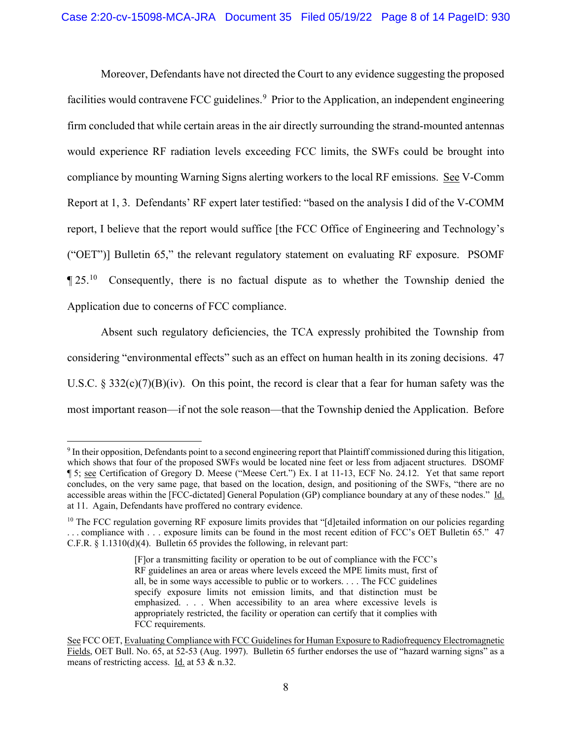Moreover, Defendants have not directed the Court to any evidence suggesting the proposed facilities would contravene FCC guidelines.<sup>9</sup> Prior to the Application, an independent engineering firm concluded that while certain areas in the air directly surrounding the strand-mounted antennas would experience RF radiation levels exceeding FCC limits, the SWFs could be brought into compliance by mounting Warning Signs alerting workers to the local RF emissions. See V-Comm Report at 1, 3. Defendants' RF expert later testified: "based on the analysis I did of the V-COMM report, I believe that the report would suffice [the FCC Office of Engineering and Technology's ("OET")] Bulletin 65," the relevant regulatory statement on evaluating RF exposure. PSOMF  $\P$  25.<sup>10</sup> Consequently, there is no factual dispute as to whether the Township denied the Application due to concerns of FCC compliance.

Absent such regulatory deficiencies, the TCA expressly prohibited the Township from considering "environmental effects" such as an effect on human health in its zoning decisions. 47 U.S.C. § 332(c)(7)(B)(iv). On this point, the record is clear that a fear for human safety was the most important reason—if not the sole reason—that the Township denied the Application. Before

<sup>9</sup> In their opposition, Defendants point to a second engineering report that Plaintiff commissioned during this litigation, which shows that four of the proposed SWFs would be located nine feet or less from adjacent structures. DSOMF ¶ 5; see Certification of Gregory D. Meese ("Meese Cert.") Ex. I at 11-13, ECF No. 24.12. Yet that same report concludes, on the very same page, that based on the location, design, and positioning of the SWFs, "there are no accessible areas within the [FCC-dictated] General Population (GP) compliance boundary at any of these nodes." Id. at 11. Again, Defendants have proffered no contrary evidence.

 $10$  The FCC regulation governing RF exposure limits provides that "[d]etailed information on our policies regarding . . . compliance with . . . exposure limits can be found in the most recent edition of FCC's OET Bulletin 65." 47 C.F.R. § 1.1310(d)(4). Bulletin 65 provides the following, in relevant part:

<sup>[</sup>F]or a transmitting facility or operation to be out of compliance with the FCC's RF guidelines an area or areas where levels exceed the MPE limits must, first of all, be in some ways accessible to public or to workers. . . . The FCC guidelines specify exposure limits not emission limits, and that distinction must be emphasized. . . . When accessibility to an area where excessive levels is appropriately restricted, the facility or operation can certify that it complies with FCC requirements.

See FCC OET, Evaluating Compliance with FCC Guidelines for Human Exposure to Radiofrequency Electromagnetic Fields, OET Bull. No. 65, at 52-53 (Aug. 1997). Bulletin 65 further endorses the use of "hazard warning signs" as a means of restricting access. Id. at 53 & n.32.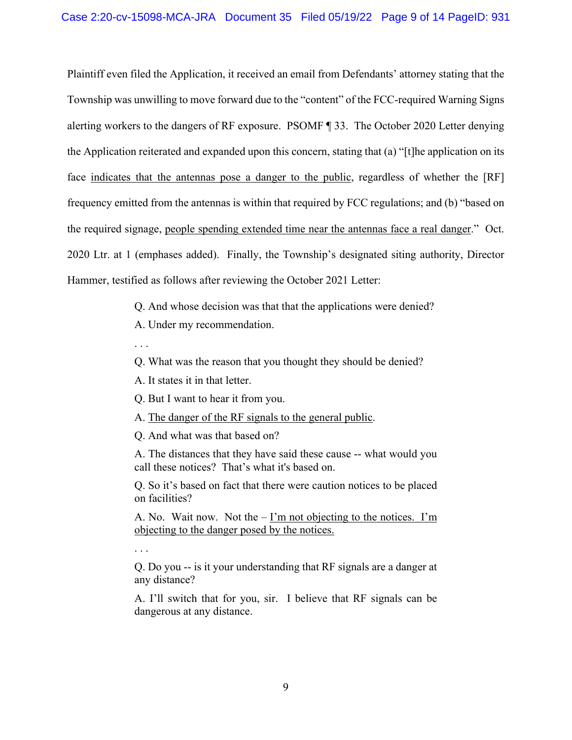Plaintiff even filed the Application, it received an email from Defendants' attorney stating that the Township was unwilling to move forward due to the "content" of the FCC-required Warning Signs alerting workers to the dangers of RF exposure. PSOMF ¶ 33. The October 2020 Letter denying the Application reiterated and expanded upon this concern, stating that (a) "[t]he application on its face indicates that the antennas pose a danger to the public, regardless of whether the [RF] frequency emitted from the antennas is within that required by FCC regulations; and (b) "based on the required signage, people spending extended time near the antennas face a real danger." Oct. 2020 Ltr. at 1 (emphases added). Finally, the Township's designated siting authority, Director Hammer, testified as follows after reviewing the October 2021 Letter:

Q. And whose decision was that that the applications were denied?

A. Under my recommendation.

. . .

. . .

Q. What was the reason that you thought they should be denied?

A. It states it in that letter.

Q. But I want to hear it from you.

A. The danger of the RF signals to the general public.

Q. And what was that based on?

A. The distances that they have said these cause -- what would you call these notices? That's what it's based on.

Q. So it's based on fact that there were caution notices to be placed on facilities?

A. No. Wait now. Not the  $-\underline{\Gamma}$ m not objecting to the notices.  $\Gamma$ m objecting to the danger posed by the notices.

Q. Do you -- is it your understanding that RF signals are a danger at any distance?

A. I'll switch that for you, sir. I believe that RF signals can be dangerous at any distance.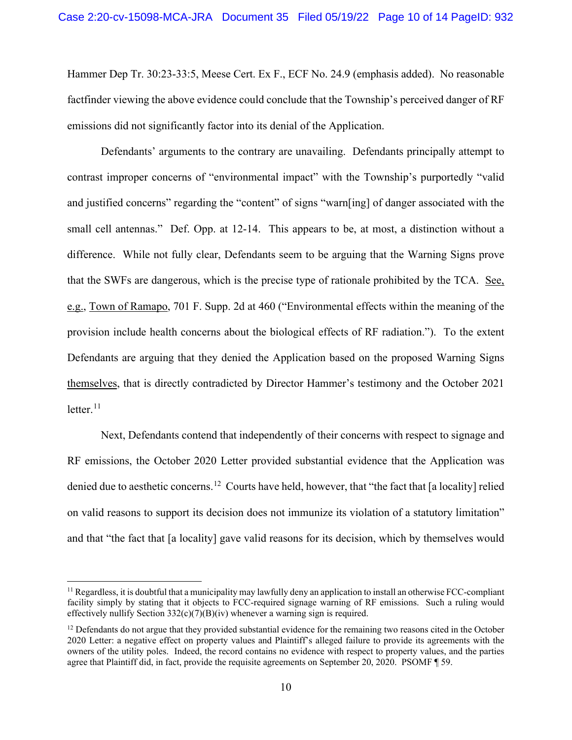Hammer Dep Tr. 30:23-33:5, Meese Cert. Ex F., ECF No. 24.9 (emphasis added). No reasonable factfinder viewing the above evidence could conclude that the Township's perceived danger of RF emissions did not significantly factor into its denial of the Application.

Defendants' arguments to the contrary are unavailing. Defendants principally attempt to contrast improper concerns of "environmental impact" with the Township's purportedly "valid and justified concerns" regarding the "content" of signs "warn[ing] of danger associated with the small cell antennas." Def. Opp. at 12-14. This appears to be, at most, a distinction without a difference. While not fully clear, Defendants seem to be arguing that the Warning Signs prove that the SWFs are dangerous, which is the precise type of rationale prohibited by the TCA. See, e.g., Town of Ramapo, 701 F. Supp. 2d at 460 ("Environmental effects within the meaning of the provision include health concerns about the biological effects of RF radiation."). To the extent Defendants are arguing that they denied the Application based on the proposed Warning Signs themselves, that is directly contradicted by Director Hammer's testimony and the October 2021 letter. $^{11}$ 

Next, Defendants contend that independently of their concerns with respect to signage and RF emissions, the October 2020 Letter provided substantial evidence that the Application was denied due to aesthetic concerns.<sup>12</sup> Courts have held, however, that "the fact that [a locality] relied on valid reasons to support its decision does not immunize its violation of a statutory limitation" and that "the fact that [a locality] gave valid reasons for its decision, which by themselves would

 $<sup>11</sup>$  Regardless, it is doubtful that a municipality may lawfully deny an application to install an otherwise FCC-compliant</sup> facility simply by stating that it objects to FCC-required signage warning of RF emissions. Such a ruling would effectively nullify Section  $332(c)(7)(B)(iv)$  whenever a warning sign is required.

 $12$  Defendants do not argue that they provided substantial evidence for the remaining two reasons cited in the October 2020 Letter: a negative effect on property values and Plaintiff's alleged failure to provide its agreements with the owners of the utility poles. Indeed, the record contains no evidence with respect to property values, and the parties agree that Plaintiff did, in fact, provide the requisite agreements on September 20, 2020. PSOMF ¶ 59.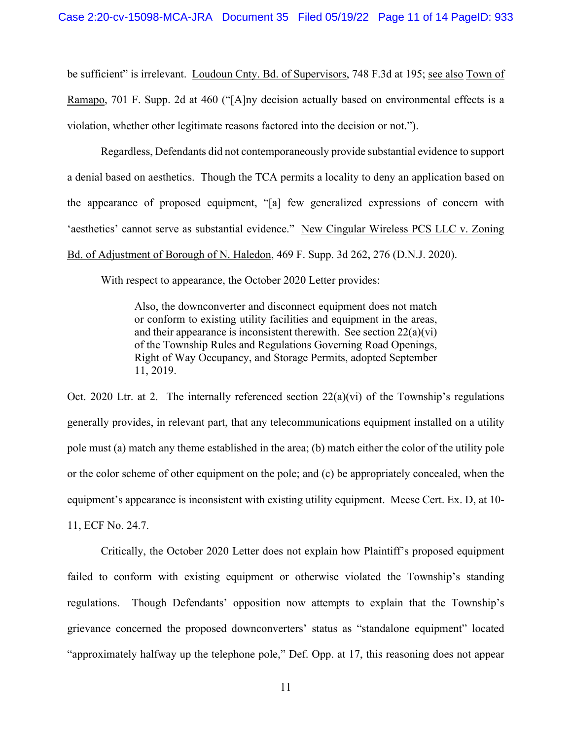be sufficient" is irrelevant. Loudoun Cnty. Bd. of Supervisors, 748 F.3d at 195; see also Town of Ramapo, 701 F. Supp. 2d at 460 ("[A]ny decision actually based on environmental effects is a violation, whether other legitimate reasons factored into the decision or not.").

Regardless, Defendants did not contemporaneously provide substantial evidence to support a denial based on aesthetics. Though the TCA permits a locality to deny an application based on the appearance of proposed equipment, "[a] few generalized expressions of concern with 'aesthetics' cannot serve as substantial evidence." New Cingular Wireless PCS LLC v. Zoning Bd. of Adjustment of Borough of N. Haledon, 469 F. Supp. 3d 262, 276 (D.N.J. 2020).

With respect to appearance, the October 2020 Letter provides:

Also, the downconverter and disconnect equipment does not match or conform to existing utility facilities and equipment in the areas, and their appearance is inconsistent therewith. See section  $22(a)(vi)$ of the Township Rules and Regulations Governing Road Openings, Right of Way Occupancy, and Storage Permits, adopted September 11, 2019.

Oct. 2020 Ltr. at 2. The internally referenced section  $22(a)(vi)$  of the Township's regulations generally provides, in relevant part, that any telecommunications equipment installed on a utility pole must (a) match any theme established in the area; (b) match either the color of the utility pole or the color scheme of other equipment on the pole; and (c) be appropriately concealed, when the equipment's appearance is inconsistent with existing utility equipment. Meese Cert. Ex. D, at 10- 11, ECF No. 24.7.

Critically, the October 2020 Letter does not explain how Plaintiff's proposed equipment failed to conform with existing equipment or otherwise violated the Township's standing regulations. Though Defendants' opposition now attempts to explain that the Township's grievance concerned the proposed downconverters' status as "standalone equipment" located "approximately halfway up the telephone pole," Def. Opp. at 17, this reasoning does not appear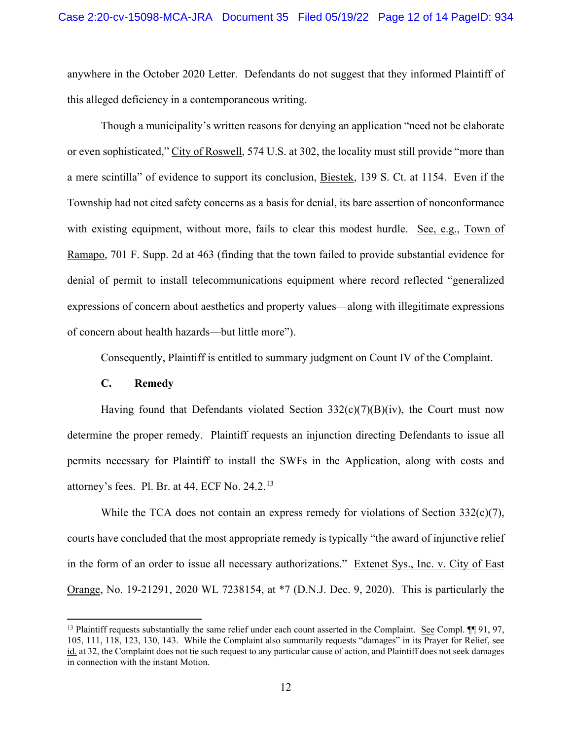anywhere in the October 2020 Letter. Defendants do not suggest that they informed Plaintiff of this alleged deficiency in a contemporaneous writing.

Though a municipality's written reasons for denying an application "need not be elaborate or even sophisticated," City of Roswell, 574 U.S. at 302, the locality must still provide "more than a mere scintilla" of evidence to support its conclusion, Biestek, 139 S. Ct. at 1154. Even if the Township had not cited safety concerns as a basis for denial, its bare assertion of nonconformance with existing equipment, without more, fails to clear this modest hurdle. See, e.g., Town of Ramapo, 701 F. Supp. 2d at 463 (finding that the town failed to provide substantial evidence for denial of permit to install telecommunications equipment where record reflected "generalized expressions of concern about aesthetics and property values—along with illegitimate expressions of concern about health hazards—but little more").

Consequently, Plaintiff is entitled to summary judgment on Count IV of the Complaint.

# **C. Remedy**

Having found that Defendants violated Section  $332(c)(7)(B)(iv)$ , the Court must now determine the proper remedy. Plaintiff requests an injunction directing Defendants to issue all permits necessary for Plaintiff to install the SWFs in the Application, along with costs and attorney's fees. Pl. Br. at 44, ECF No.  $24.2<sup>13</sup>$ 

While the TCA does not contain an express remedy for violations of Section  $332(c)(7)$ , courts have concluded that the most appropriate remedy is typically "the award of injunctive relief in the form of an order to issue all necessary authorizations." Extenet Sys., Inc. v. City of East Orange, No. 19-21291, 2020 WL 7238154, at \*7 (D.N.J. Dec. 9, 2020). This is particularly the

<sup>&</sup>lt;sup>13</sup> Plaintiff requests substantially the same relief under each count asserted in the Complaint. See Compl. ¶¶ 91, 97, 105, 111, 118, 123, 130, 143. While the Complaint also summarily requests "damages" in its Prayer for Relief, see id. at 32, the Complaint does not tie such request to any particular cause of action, and Plaintiff does not seek damages in connection with the instant Motion.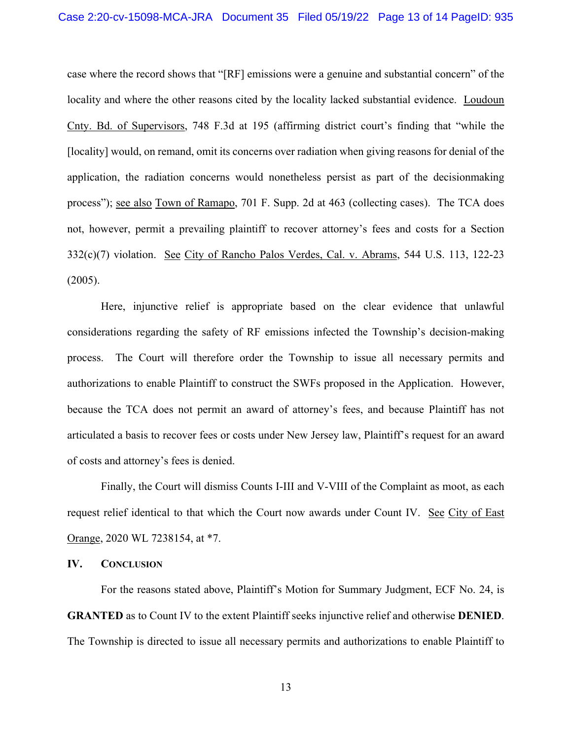case where the record shows that "[RF] emissions were a genuine and substantial concern" of the locality and where the other reasons cited by the locality lacked substantial evidence. Loudoun Cnty. Bd. of Supervisors, 748 F.3d at 195 (affirming district court's finding that "while the [locality] would, on remand, omit its concerns over radiation when giving reasons for denial of the application, the radiation concerns would nonetheless persist as part of the decisionmaking process"); <u>see also Town of Ramapo</u>, 701 F. Supp. 2d at 463 (collecting cases). The TCA does not, however, permit a prevailing plaintiff to recover attorney's fees and costs for a Section 332(c)(7) violation. See City of Rancho Palos Verdes, Cal. v. Abrams, 544 U.S. 113, 122-23 (2005).

Here, injunctive relief is appropriate based on the clear evidence that unlawful considerations regarding the safety of RF emissions infected the Township's decision-making process. The Court will therefore order the Township to issue all necessary permits and authorizations to enable Plaintiff to construct the SWFs proposed in the Application. However, because the TCA does not permit an award of attorney's fees, and because Plaintiff has not articulated a basis to recover fees or costs under New Jersey law, Plaintiff's request for an award of costs and attorney's fees is denied.

Finally, the Court will dismiss Counts I-III and V-VIII of the Complaint as moot, as each request relief identical to that which the Court now awards under Count IV. See City of East Orange, 2020 WL 7238154, at \*7.

### **IV. CONCLUSION**

For the reasons stated above, Plaintiff's Motion for Summary Judgment, ECF No. 24, is **GRANTED** as to Count IV to the extent Plaintiff seeks injunctive relief and otherwise **DENIED**. The Township is directed to issue all necessary permits and authorizations to enable Plaintiff to